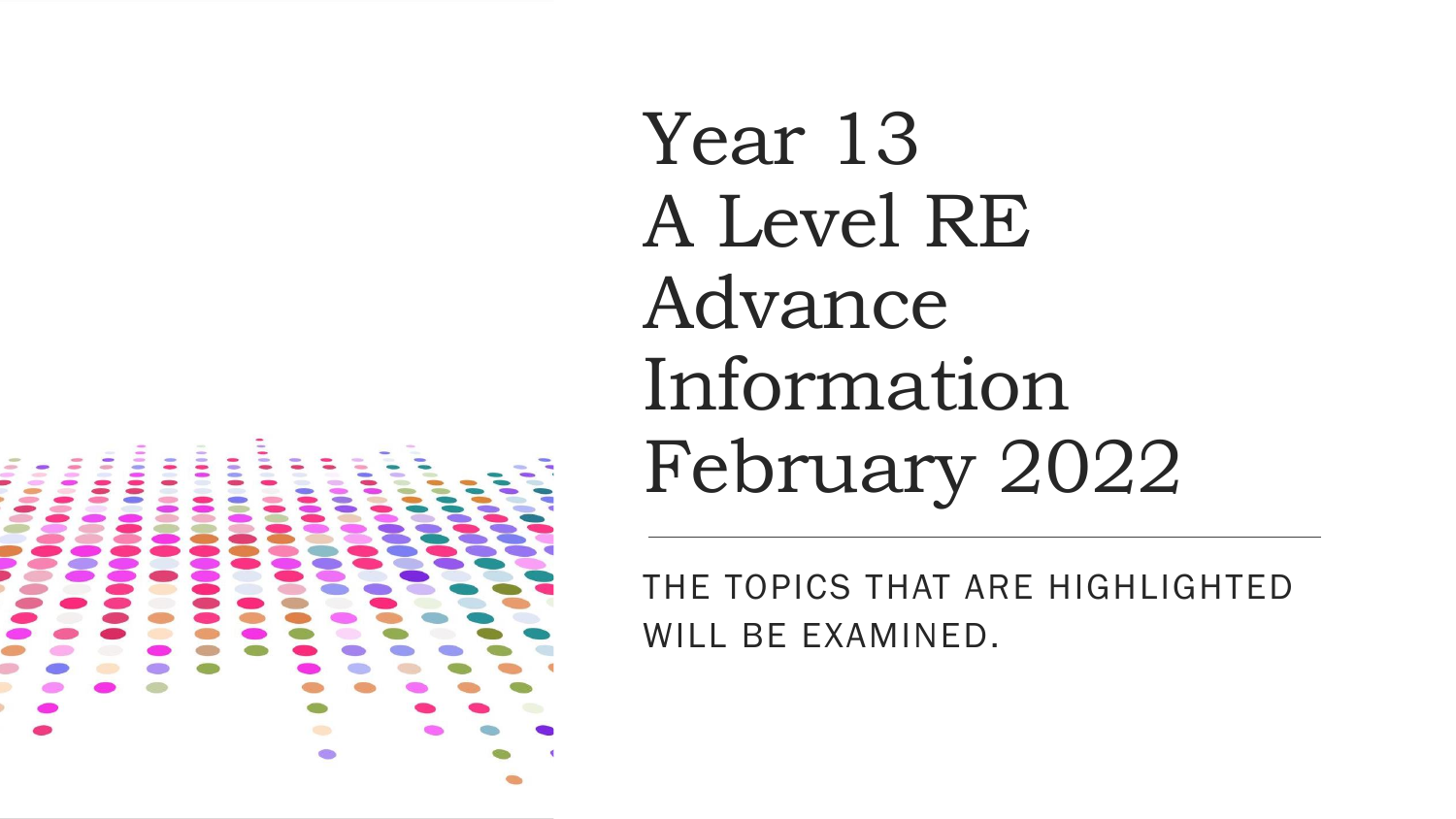Year 13 A Level RE Advance Information February 2022

THE TOPICS THAT ARE HIGHLIGHTED WILL BE EXAMINED.

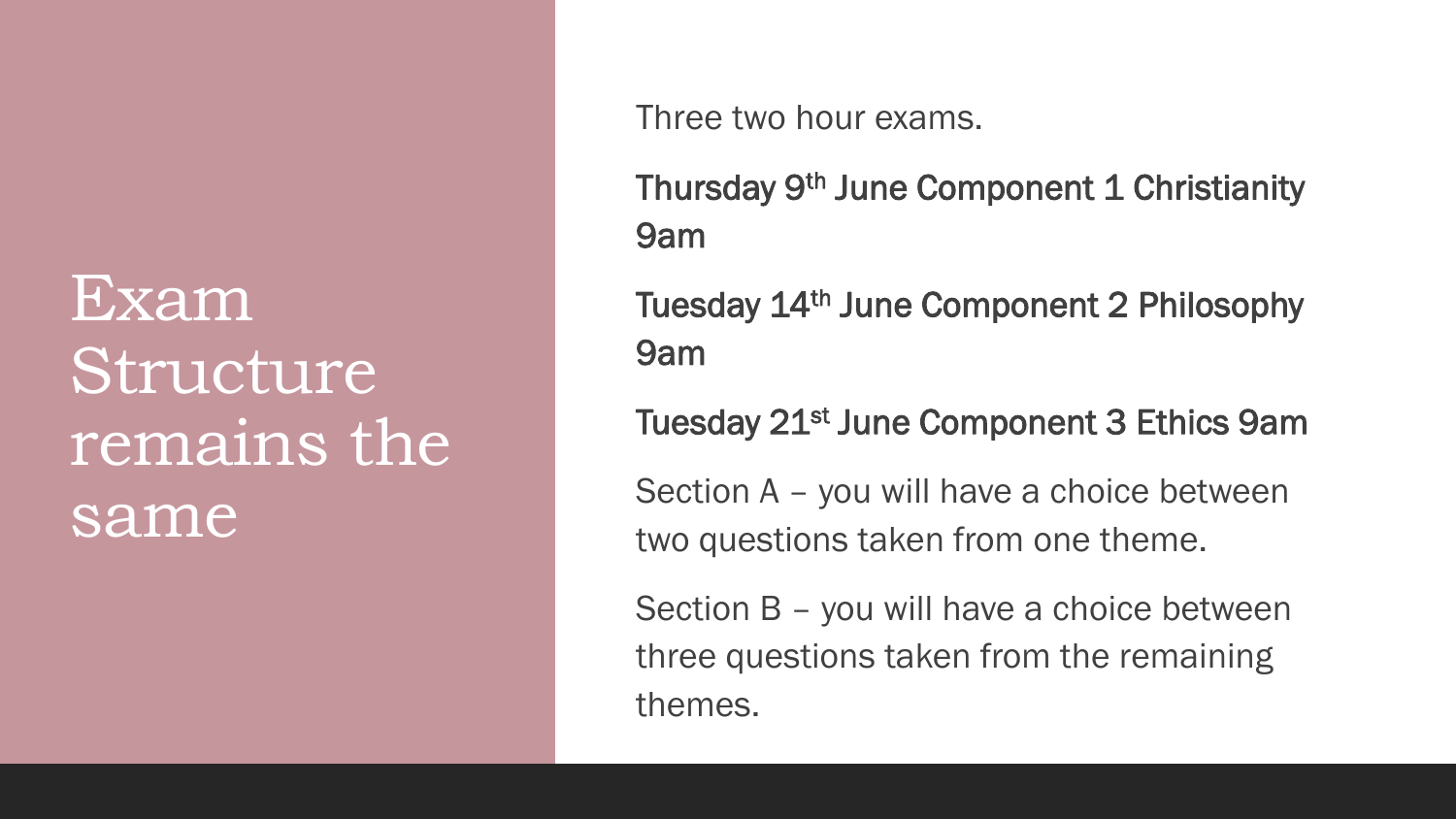## Exam Structure remains the same

Three two hour exams.

Thursday 9<sup>th</sup> June Component 1 Christianity 9am

Tuesday 14th June Component 2 Philosophy 9am

Tuesday 21<sup>st</sup> June Component 3 Ethics 9am

Section A – you will have a choice between two questions taken from one theme.

Section B – you will have a choice between three questions taken from the remaining themes.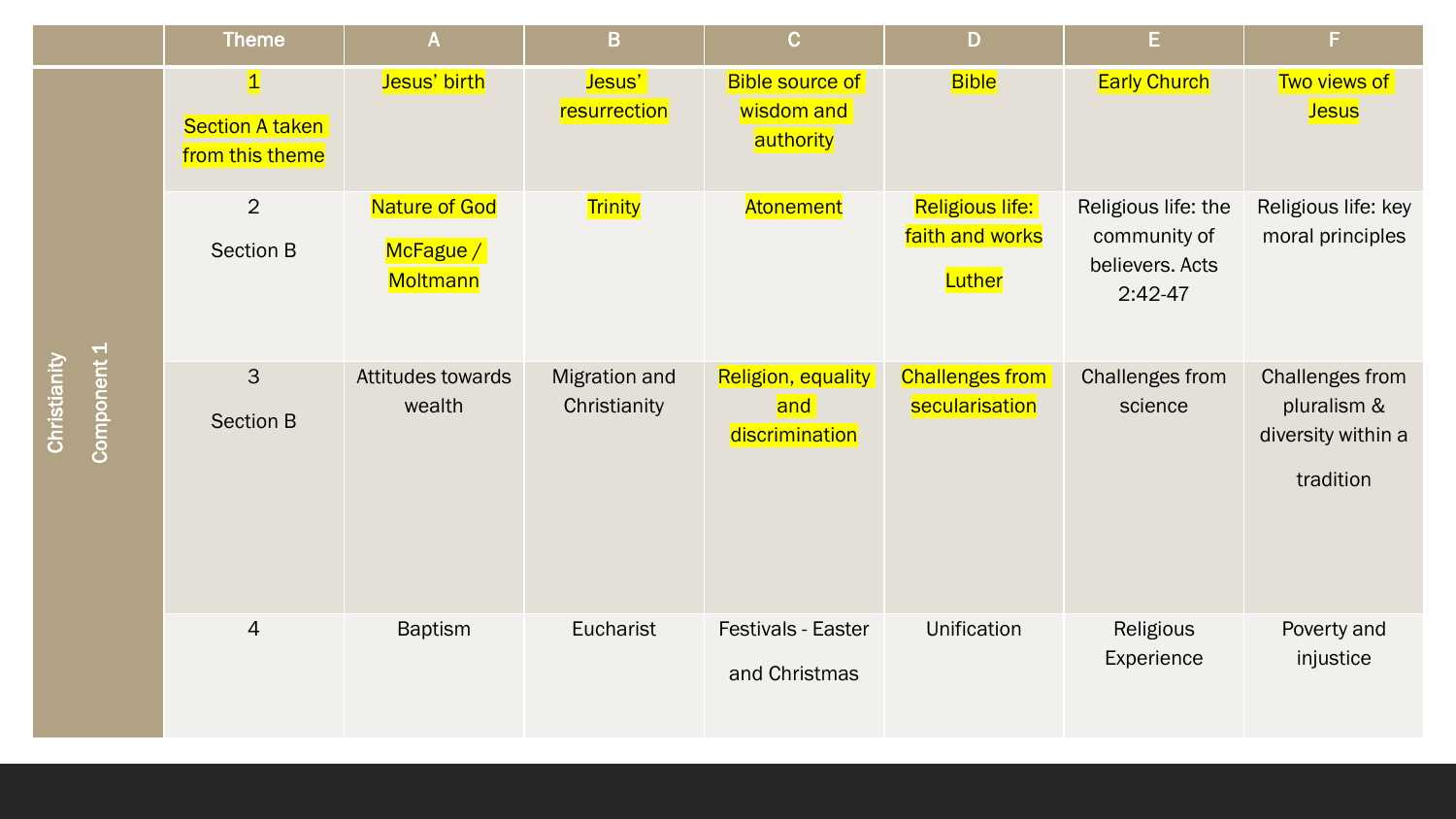|             | <b>Theme</b>                                           | $\mathsf{A}$                           | B                                    | $\overline{C}$                                     | D                                            | E.                                                                  | F.                                                                |
|-------------|--------------------------------------------------------|----------------------------------------|--------------------------------------|----------------------------------------------------|----------------------------------------------|---------------------------------------------------------------------|-------------------------------------------------------------------|
| Component 1 | $\vert$ 1<br><b>Section A taken</b><br>from this theme | Jesus' birth                           | Jesus'<br>resurrection               | <b>Bible source of</b><br>wisdom and<br>authority  | <b>Bible</b>                                 | <b>Early Church</b>                                                 | Two views of<br><b>Jesus</b>                                      |
|             | $\overline{2}$<br><b>Section B</b>                     | Nature of God<br>McFague /<br>Moltmann | Trinity                              | Atonement                                          | Religious life:<br>faith and works<br>Luther | Religious life: the<br>community of<br>believers. Acts<br>$2:42-47$ | Religious life: key<br>moral principles                           |
|             | 3<br><b>Section B</b>                                  | Attitudes towards<br>wealth            | <b>Migration and</b><br>Christianity | <b>Religion, equality</b><br>and<br>discrimination | <b>Challenges from</b><br>secularisation     | Challenges from<br>science                                          | Challenges from<br>pluralism &<br>diversity within a<br>tradition |
|             | $\overline{4}$                                         | <b>Baptism</b>                         | Eucharist                            | Festivals - Easter<br>and Christmas                | Unification                                  | Religious<br>Experience                                             | Poverty and<br>injustice                                          |

Christianity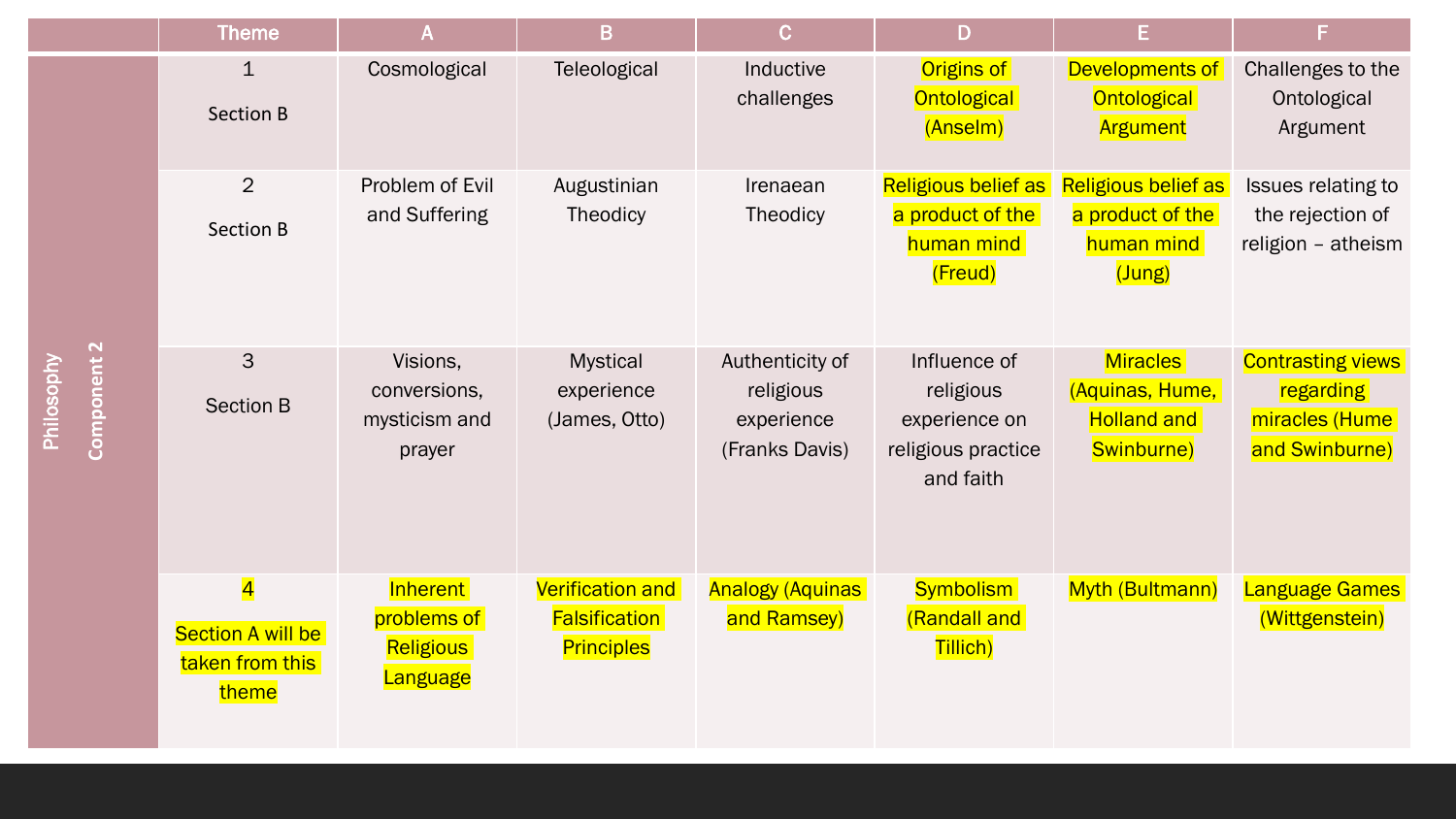|  | <b>Theme</b>                                                                    | A                                                       | B                                                                    | $\mathbf C$                                                  | D                                                                             | E.                                                                     | F.                                                                        |
|--|---------------------------------------------------------------------------------|---------------------------------------------------------|----------------------------------------------------------------------|--------------------------------------------------------------|-------------------------------------------------------------------------------|------------------------------------------------------------------------|---------------------------------------------------------------------------|
|  | $\mathbf{1}$<br><b>Section B</b>                                                | Cosmological                                            | Teleological                                                         | Inductive<br>challenges                                      | Origins of<br><b>Ontological</b><br>(Anselm)                                  | Developments of<br><b>Ontological</b><br>Argument                      | Challenges to the<br>Ontological<br>Argument                              |
|  | $\overline{2}$<br><b>Section B</b>                                              | Problem of Evil<br>and Suffering                        | Augustinian<br>Theodicy                                              | Irenaean<br>Theodicy                                         | Religious belief as<br>a product of the<br>human mind<br>(Freud)              | Religious belief as<br>a product of the<br>human mind<br>(Jung)        | Issues relating to<br>the rejection of<br>religion - atheism              |
|  | 3<br><b>Section B</b>                                                           | Visions,<br>conversions,<br>mysticism and<br>prayer     | <b>Mystical</b><br>experience<br>(James, Otto)                       | Authenticity of<br>religious<br>experience<br>(Franks Davis) | Influence of<br>religious<br>experience on<br>religious practice<br>and faith | <b>Miracles</b><br>(Aquinas, Hume,<br><b>Holland and</b><br>Swinburne) | <b>Contrasting views</b><br>regarding<br>miracles (Hume<br>and Swinburne) |
|  | $\overline{\mathbf{4}}$<br><b>Section A will be</b><br>taken from this<br>theme | Inherent<br>problems of<br><b>Religious</b><br>Language | <b>Verification and</b><br><b>Falsification</b><br><b>Principles</b> | <b>Analogy (Aquinas</b><br>and Ramsey)                       | <b>Symbolism</b><br>(Randall and<br>Tillich)                                  | Myth (Bultmann)                                                        | Language Games<br>(Wittgenstein)                                          |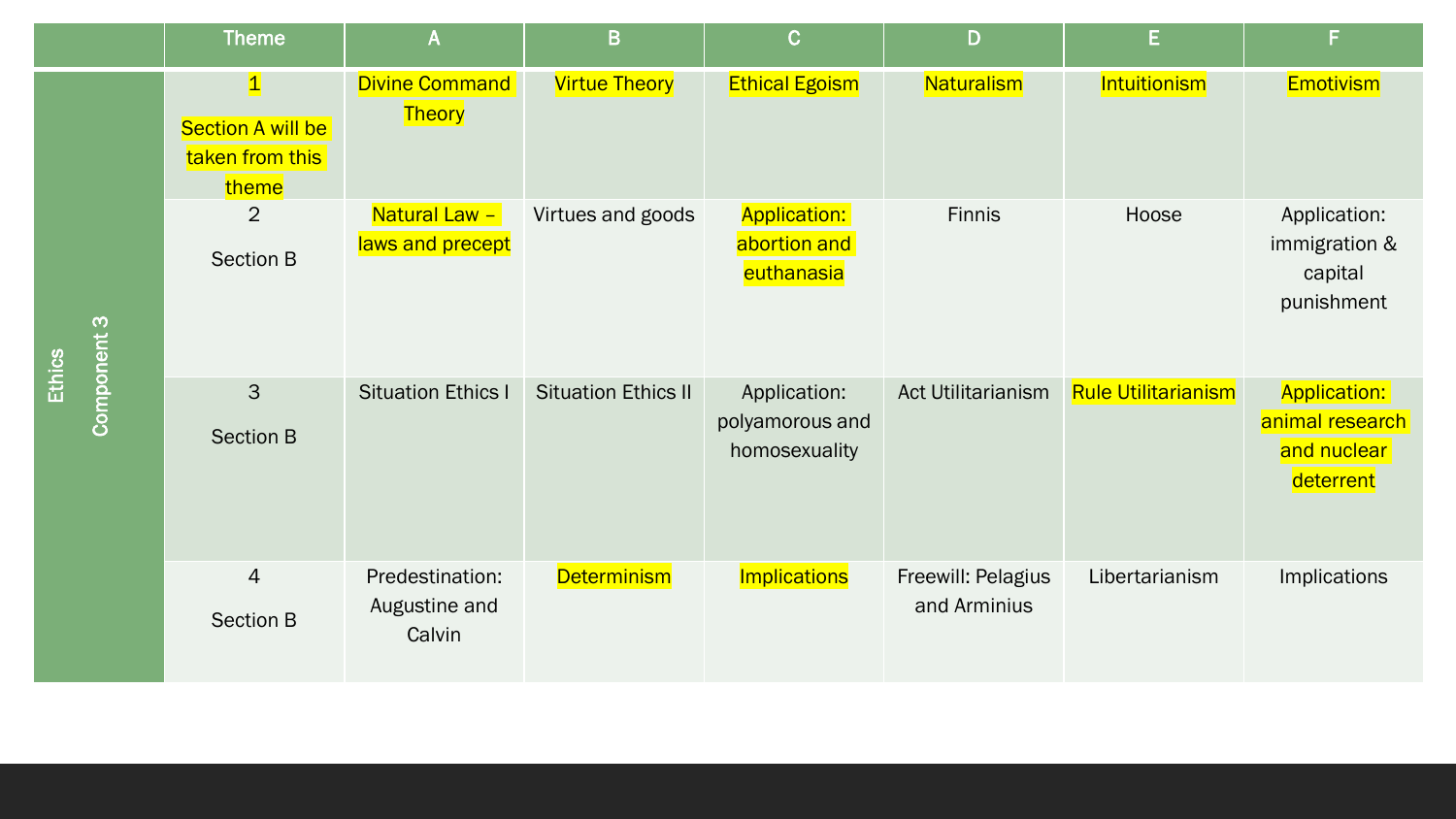|                       | <b>Theme</b>                                               | $\mathsf{A}$                               | B                          | $\mathbf C$                                       | D                                  | E.                         | F                                                                  |
|-----------------------|------------------------------------------------------------|--------------------------------------------|----------------------------|---------------------------------------------------|------------------------------------|----------------------------|--------------------------------------------------------------------|
|                       | $\vert$ 1<br>Section A will be<br>taken from this<br>theme | <b>Divine Command</b><br><b>Theory</b>     | <b>Virtue Theory</b>       | <b>Ethical Egoism</b>                             | Naturalism                         | Intuitionism               | <b>Emotivism</b>                                                   |
| Component 3<br>Ethics | $\overline{2}$<br><b>Section B</b>                         | Natural Law -<br>laws and precept          | Virtues and goods          | <b>Application:</b><br>abortion and<br>euthanasia | Finnis                             | Hoose                      | Application:<br>immigration &<br>capital<br>punishment             |
|                       | 3<br><b>Section B</b>                                      | <b>Situation Ethics I</b>                  | <b>Situation Ethics II</b> | Application:<br>polyamorous and<br>homosexuality  | <b>Act Utilitarianism</b>          | <b>Rule Utilitarianism</b> | <b>Application:</b><br>animal research<br>and nuclear<br>deterrent |
|                       | $\overline{4}$<br><b>Section B</b>                         | Predestination:<br>Augustine and<br>Calvin | <b>Determinism</b>         | Implications                                      | Freewill: Pelagius<br>and Arminius | Libertarianism             | <b>Implications</b>                                                |